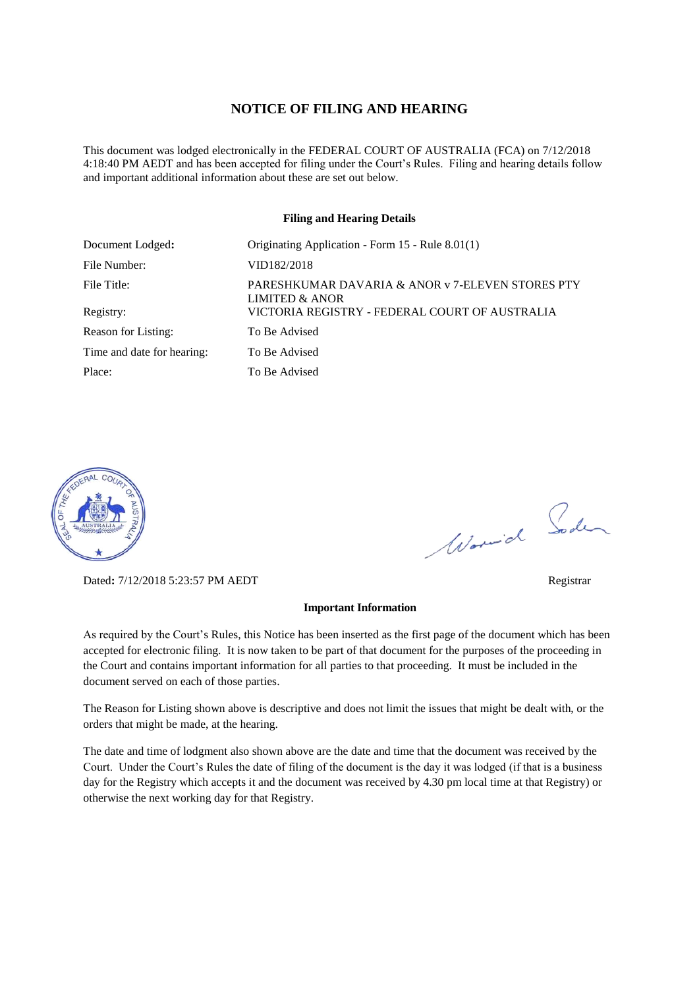## **NOTICE OF FILING AND HEARING**

This document was lodged electronically in the FEDERAL COURT OF AUSTRALIA (FCA) on 7/12/2018 4:18:40 PM AEDT and has been accepted for filing under the Court's Rules. Filing and hearing details follow and important additional information about these are set out below.

#### **Filing and Hearing Details**

| Document Lodged:           | Originating Application - Form 15 - Rule 8.01(1)                              |
|----------------------------|-------------------------------------------------------------------------------|
| File Number:               | VID182/2018                                                                   |
| File Title:                | PARESHKUMAR DAVARIA & ANOR v 7-ELEVEN STORES PTY<br><b>LIMITED &amp; ANOR</b> |
| Registry:                  | VICTORIA REGISTRY - FEDERAL COURT OF AUSTRALIA                                |
| Reason for Listing:        | To Be Advised                                                                 |
| Time and date for hearing: | To Be Advised                                                                 |
| Place:                     | To Be Advised                                                                 |



Dated**:** 7/12/2018 5:23:57 PM AEDT Registrar

# Worwich Soden

#### **Important Information**

As required by the Court's Rules, this Notice has been inserted as the first page of the document which has been accepted for electronic filing. It is now taken to be part of that document for the purposes of the proceeding in the Court and contains important information for all parties to that proceeding. It must be included in the document served on each of those parties.

The Reason for Listing shown above is descriptive and does not limit the issues that might be dealt with, or the orders that might be made, at the hearing.

The date and time of lodgment also shown above are the date and time that the document was received by the Court. Under the Court's Rules the date of filing of the document is the day it was lodged (if that is a business day for the Registry which accepts it and the document was received by 4.30 pm local time at that Registry) or otherwise the next working day for that Registry.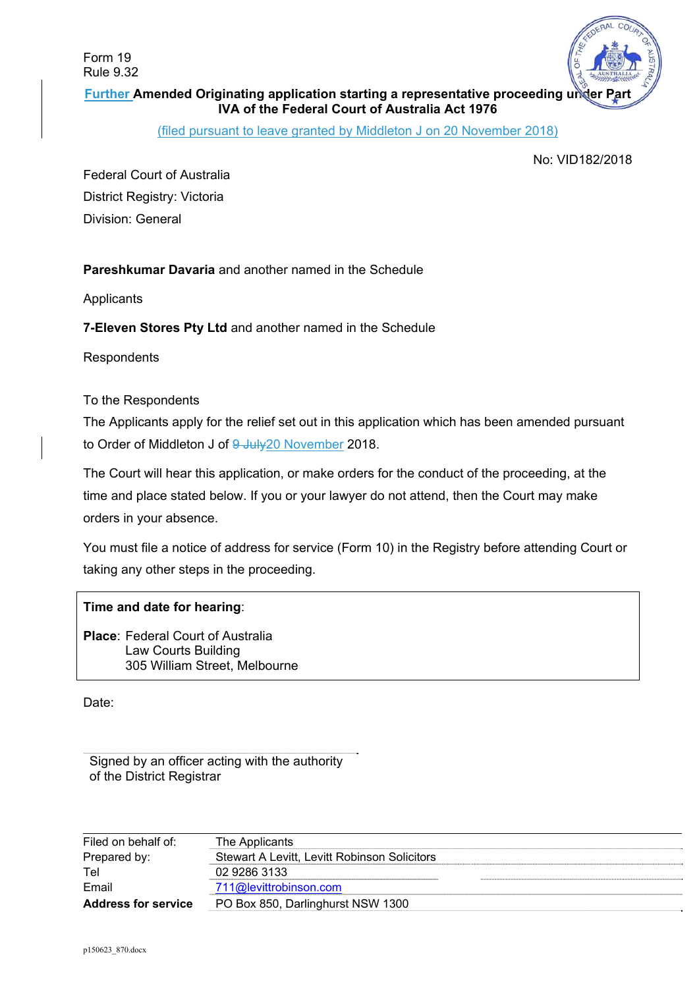Form 19 Rule 9.32



**Further Amended Originating application starting a representative proceeding under IVA of the Federal Court of Australia Act 1976** 

(filed pursuant to leave granted by Middleton J on 20 November 2018)

No: VID182/2018

Federal Court of Australia District Registry: Victoria Division: General

**Pareshkumar Davaria** and another named in the Schedule

**Applicants** 

**7-Eleven Stores Pty Ltd** and another named in the Schedule

**Respondents** 

To the Respondents

The Applicants apply for the relief set out in this application which has been amended pursuant to Order of Middleton J of 9 July 20 November 2018.

The Court will hear this application, or make orders for the conduct of the proceeding, at the time and place stated below. If you or your lawyer do not attend, then the Court may make orders in your absence.

You must file a notice of address for service (Form 10) in the Registry before attending Court or taking any other steps in the proceeding.

# **Time and date for hearing**:

**Place**: Federal Court of Australia Law Courts Building 305 William Street, Melbourne

Date:

Signed by an officer acting with the authority of the District Registrar

| Filed on behalf of:        | The Applicants                               |  |
|----------------------------|----------------------------------------------|--|
| Prepared by:               | Stewart A Levitt, Levitt Robinson Solicitors |  |
| Tel                        | 02 9286 3133                                 |  |
| Email                      | 711@levittrobinson.com                       |  |
| <b>Address for service</b> | PO Box 850, Darlinghurst NSW 1300            |  |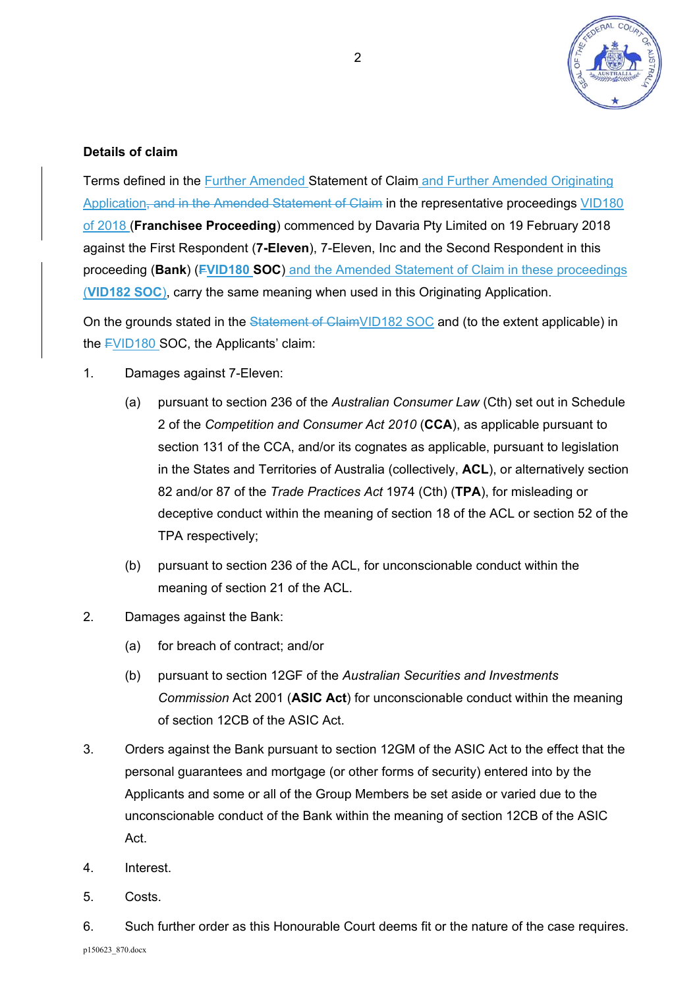

# **Details of claim**

Terms defined in the Further Amended Statement of Claim and Further Amended Originating Application, and in the Amended Statement of Claim in the representative proceedings VID180 of 2018 (**Franchisee Proceeding**) commenced by Davaria Pty Limited on 19 February 2018 against the First Respondent (**7-Eleven**), 7-Eleven, Inc and the Second Respondent in this proceeding (**Bank**) (**FVID180 SOC**) and the Amended Statement of Claim in these proceedings (**VID182 SOC**), carry the same meaning when used in this Originating Application.

On the grounds stated in the Statement of ClaimVID182 SOC and (to the extent applicable) in the FVID180 SOC, the Applicants' claim:

- 1. Damages against 7-Eleven:
	- (a) pursuant to section 236 of the *Australian Consumer Law* (Cth) set out in Schedule 2 of the *Competition and Consumer Act 2010* (**CCA**), as applicable pursuant to section 131 of the CCA, and/or its cognates as applicable, pursuant to legislation in the States and Territories of Australia (collectively, **ACL**), or alternatively section 82 and/or 87 of the *Trade Practices Act* 1974 (Cth) (**TPA**), for misleading or deceptive conduct within the meaning of section 18 of the ACL or section 52 of the TPA respectively;
	- (b) pursuant to section 236 of the ACL, for unconscionable conduct within the meaning of section 21 of the ACL.
- 2. Damages against the Bank:
	- (a) for breach of contract; and/or
	- (b) pursuant to section 12GF of the *Australian Securities and Investments Commission* Act 2001 (**ASIC Act**) for unconscionable conduct within the meaning of section 12CB of the ASIC Act.
- 3. Orders against the Bank pursuant to section 12GM of the ASIC Act to the effect that the personal guarantees and mortgage (or other forms of security) entered into by the Applicants and some or all of the Group Members be set aside or varied due to the unconscionable conduct of the Bank within the meaning of section 12CB of the ASIC Act.
- 4. Interest.
- 5. Costs.

6. Such further order as this Honourable Court deems fit or the nature of the case requires.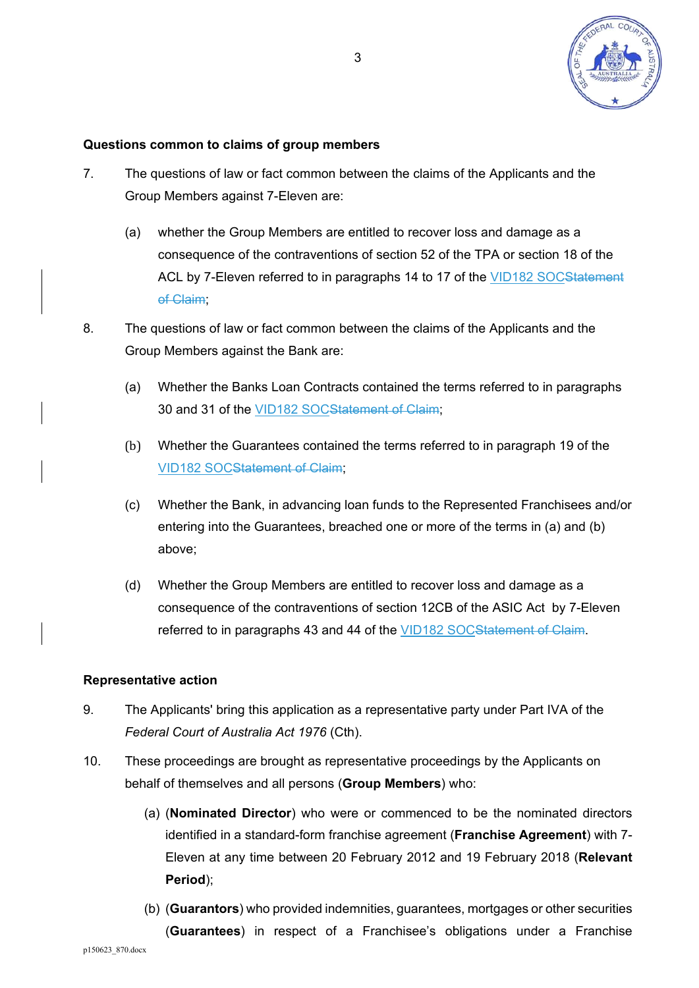

## **Questions common to claims of group members**

- 7. The questions of law or fact common between the claims of the Applicants and the Group Members against 7-Eleven are:
	- (a) whether the Group Members are entitled to recover loss and damage as a consequence of the contraventions of section 52 of the TPA or section 18 of the ACL by 7-Eleven referred to in paragraphs 14 to 17 of the VID182 SOCStatement of Claim;
- 8. The questions of law or fact common between the claims of the Applicants and the Group Members against the Bank are:
	- (a) Whether the Banks Loan Contracts contained the terms referred to in paragraphs 30 and 31 of the VID182 SOCStatement of Claim;
	- (b) Whether the Guarantees contained the terms referred to in paragraph 19 of the VID182 SOCStatement of Claim;
	- (c) Whether the Bank, in advancing loan funds to the Represented Franchisees and/or entering into the Guarantees, breached one or more of the terms in (a) and (b) above;
	- (d) Whether the Group Members are entitled to recover loss and damage as a consequence of the contraventions of section 12CB of the ASIC Act by 7-Eleven referred to in paragraphs 43 and 44 of the VID182 SOCStatement of Claim.

### **Representative action**

- 9. The Applicants' bring this application as a representative party under Part IVA of the *Federal Court of Australia Act 1976* (Cth).
- 10. These proceedings are brought as representative proceedings by the Applicants on behalf of themselves and all persons (**Group Members**) who:
	- (a) (**Nominated Director**) who were or commenced to be the nominated directors identified in a standard-form franchise agreement (**Franchise Agreement**) with 7- Eleven at any time between 20 February 2012 and 19 February 2018 (**Relevant Period**);
	- (b) (**Guarantors**) who provided indemnities, guarantees, mortgages or other securities (**Guarantees**) in respect of a Franchisee's obligations under a Franchise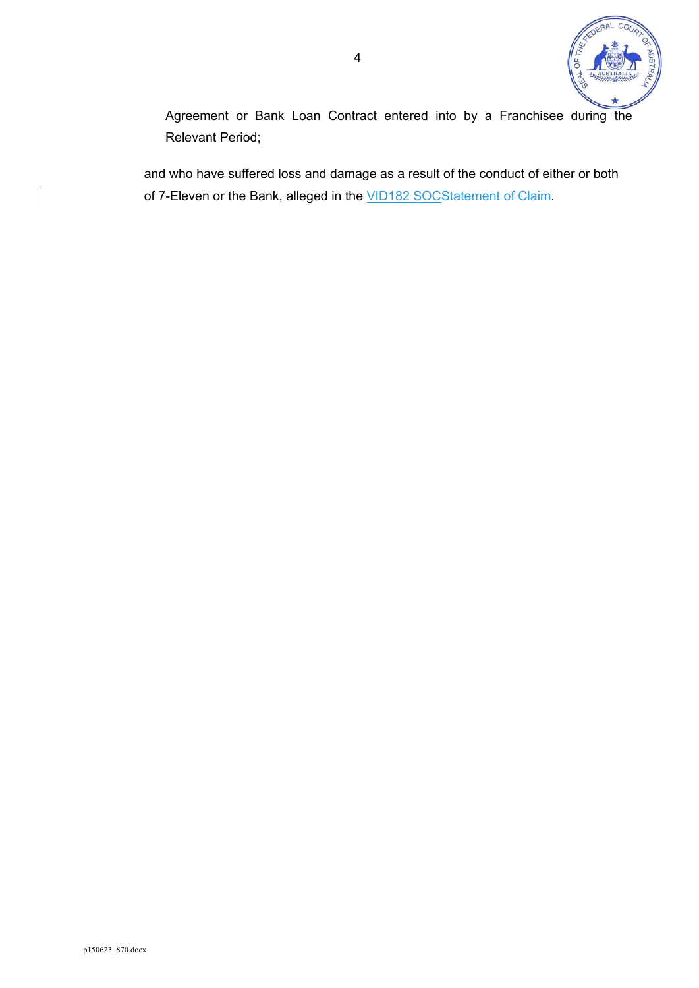

Agreement or Bank Loan Contract entered into by a Franchisee during the Relevant Period;

and who have suffered loss and damage as a result of the conduct of either or both of 7-Eleven or the Bank, alleged in the **VID182 SOCStatement of Claim**.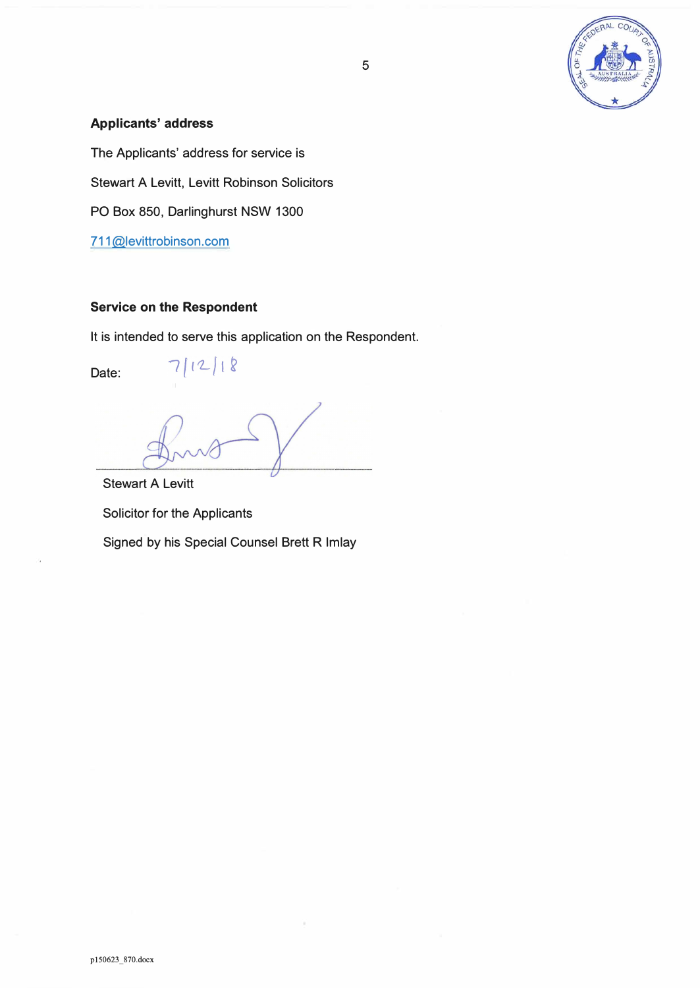

# **Applicants' address**

The Applicants' address for service is Stewart A Levitt, Levitt Robinson Solicitors PO Box 850, Darlinghurst NSW 1300 711@levittrobinson.com

# **Service on the Respondent**

 $7112118$ 

It is intended to serve this application on the Respondent.

Date:

Stewart A Levitt Solicitor for the Applicants Signed by his Special Counsel Brett R Imlay